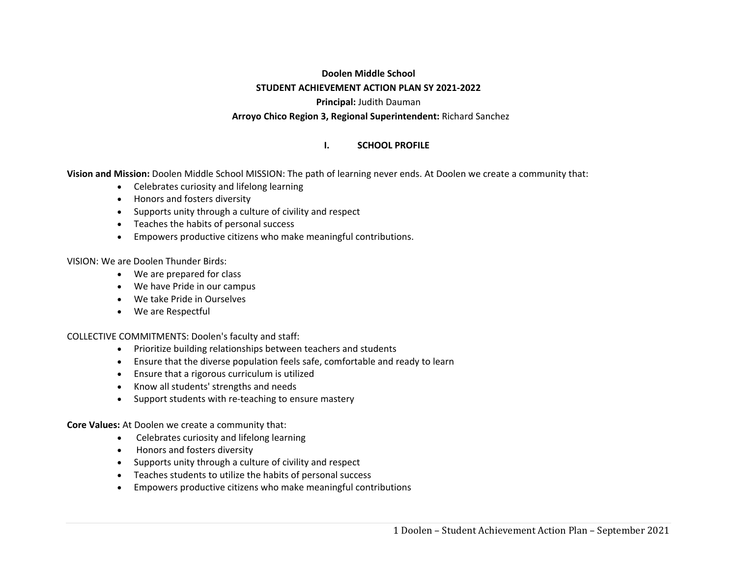# **Doolen Middle School STUDENT ACHIEVEMENT ACTION PLAN SY 2021‐2022 Principal:** Judith Dauman **Arroyo Chico Region 3, Regional Superintendent:** Richard Sanchez

#### **I.SCHOOL PROFILE**

**Vision and Mission:** Doolen Middle School MISSION: The path of learning never ends. At Doolen we create a community that:

- Celebrates curiosity and lifelong learning
- Honors and fosters diversity
- Supports unity through a culture of civility and respect
- Teaches the habits of personal success
- Empowers productive citizens who make meaningful contributions.

VISION: We are Doolen Thunder Birds:

- We are prepared for class
- We have Pride in our campus
- We take Pride in Ourselves
- We are Respectful

COLLECTIVE COMMITMENTS: Doolen's faculty and staff:

- Prioritize building relationships between teachers and students
- Ensure that the diverse population feels safe, comfortable and ready to learn
- Ensure that a rigorous curriculum is utilized
- Know all students' strengths and needs
- Support students with re-teaching to ensure mastery

**Core Values:** At Doolen we create a community that:

- Celebrates curiosity and lifelong learning
- Honors and fosters diversity
- Supports unity through a culture of civility and respect
- Teaches students to utilize the habits of personal success
- c Empowers productive citizens who make meaningful contributions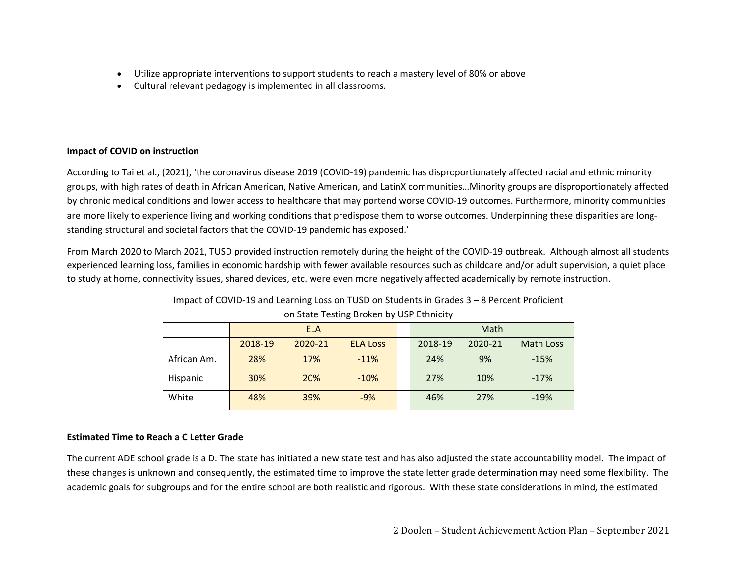- c Utilize appropriate interventions to support students to reach a mastery level of 80% or above
- c Cultural relevant pedagogy is implemented in all classrooms.

### **Impact of COVID on instruction**

According to Tai et al., (2021), 'the coronavirus disease 2019 (COVID‐19) pandemic has disproportionately affected racial and ethnic minority groups, with high rates of death in African American, Native American, and LatinX communities…Minority groups are disproportionately affected by chronic medical conditions and lower access to healthcare that may portend worse COVID‐19 outcomes. Furthermore, minority communities are more likely to experience living and working conditions that predispose them to worse outcomes. Underpinning these disparities are longstanding structural and societal factors that the COVID‐19 pandemic has exposed.'

From March 2020 to March 2021, TUSD provided instruction remotely during the height of the COVID‐19 outbreak. Although almost all students experienced learning loss, families in economic hardship with fewer available resources such as childcare and/or adult supervision, a quiet place to study at home, connectivity issues, shared devices, etc. were even more negatively affected academically by remote instruction.

| Impact of COVID-19 and Learning Loss on TUSD on Students in Grades 3 - 8 Percent Proficient |                                             |            |                 |  |                                        |      |        |  |  |
|---------------------------------------------------------------------------------------------|---------------------------------------------|------------|-----------------|--|----------------------------------------|------|--------|--|--|
| on State Testing Broken by USP Ethnicity                                                    |                                             |            |                 |  |                                        |      |        |  |  |
|                                                                                             |                                             | <b>ELA</b> |                 |  |                                        | Math |        |  |  |
|                                                                                             | 2018-19                                     | 2020-21    | <b>ELA Loss</b> |  | 2018-19<br>2020-21<br><b>Math Loss</b> |      |        |  |  |
| African Am.                                                                                 | 28%                                         | 17%        | $-11%$          |  | 24%                                    | 9%   | $-15%$ |  |  |
| Hispanic                                                                                    | 30%                                         | 20%        | $-10%$          |  | 27%<br>10%<br>$-17%$                   |      |        |  |  |
| White                                                                                       | 39%<br>27%<br>48%<br>$-9%$<br>46%<br>$-19%$ |            |                 |  |                                        |      |        |  |  |

### **Estimated Time to Reach a C Letter Grade**

The current ADE school grade is a D. The state has initiated a new state test and has also adjusted the state accountability model. The impact of these changes is unknown and consequently, the estimated time to improve the state letter grade determination may need some flexibility. The academic goals for subgroups and for the entire school are both realistic and rigorous. With these state considerations in mind, the estimated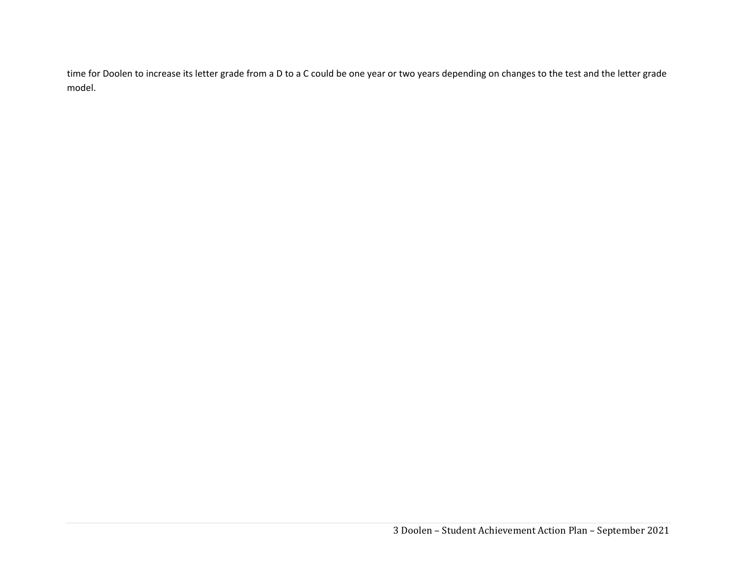time for Doolen to increase its letter grade from a D to a C could be one year or two years depending on changes to the test and the letter grade model.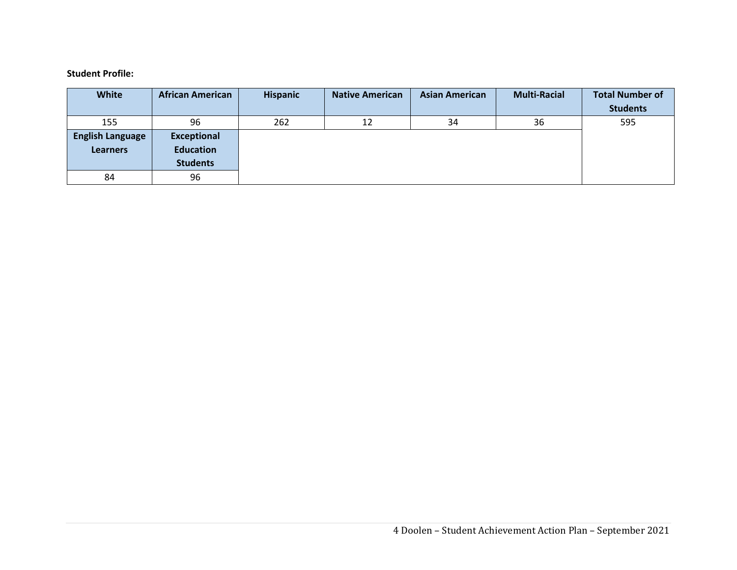#### **Student Profile:**

| <b>White</b>            | <b>African American</b> | <b>Hispanic</b> | <b>Native American</b> | <b>Asian American</b> | <b>Multi-Racial</b> | <b>Total Number of</b> |
|-------------------------|-------------------------|-----------------|------------------------|-----------------------|---------------------|------------------------|
|                         |                         |                 |                        |                       |                     | <b>Students</b>        |
| 155                     | 96                      | 262             | 12                     | 34                    | 36                  | 595                    |
| <b>English Language</b> | <b>Exceptional</b>      |                 |                        |                       |                     |                        |
| <b>Learners</b>         | <b>Education</b>        |                 |                        |                       |                     |                        |
|                         | <b>Students</b>         |                 |                        |                       |                     |                        |
| 84                      | 96                      |                 |                        |                       |                     |                        |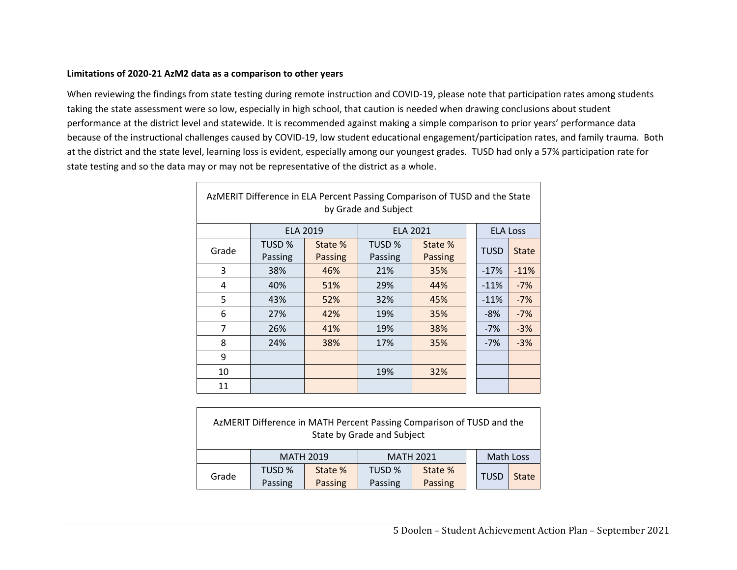#### **Limitations of 2020‐21 AzM2 data as a comparison to other years**

 $\Gamma$ 

When reviewing the findings from state testing during remote instruction and COVID‐19, please note that participation rates among students taking the state assessment were so low, especially in high school, that caution is needed when drawing conclusions about student performance at the district level and statewide. It is recommended against making a simple comparison to prior years' performance data because of the instructional challenges caused by COVID‐19, low student educational engagement/participation rates, and family trauma. Both at the district and the state level, learning loss is evident, especially among our youngest grades. TUSD had only a 57% participation rate for state testing and so the data may or may not be representative of the district as a whole.

| AzMERIT Difference in ELA Percent Passing Comparison of TUSD and the State<br>by Grade and Subject |         |                 |         |                 |  |                 |              |  |  |  |
|----------------------------------------------------------------------------------------------------|---------|-----------------|---------|-----------------|--|-----------------|--------------|--|--|--|
|                                                                                                    |         | <b>ELA 2019</b> |         | <b>ELA 2021</b> |  | <b>ELA Loss</b> |              |  |  |  |
| Grade                                                                                              | TUSD %  | State %         | TUSD %  | State %         |  | <b>TUSD</b>     | <b>State</b> |  |  |  |
|                                                                                                    | Passing | <b>Passing</b>  | Passing | <b>Passing</b>  |  |                 |              |  |  |  |
| 3                                                                                                  | 38%     | 46%             | 21%     | 35%             |  | $-17%$          | $-11%$       |  |  |  |
| 4                                                                                                  | 40%     | 51%             | 29%     | 44%             |  | $-11%$          | $-7%$        |  |  |  |
| 5                                                                                                  | 43%     | 52%             | 32%     | 45%             |  | $-11%$          | $-7%$        |  |  |  |
| 6                                                                                                  | 27%     | 42%             | 19%     | 35%             |  | $-8%$           | $-7%$        |  |  |  |
| $\overline{7}$                                                                                     | 26%     | 41%             | 19%     | 38%             |  | $-7%$           | $-3%$        |  |  |  |
| 8                                                                                                  | 24%     | 38%             | 17%     | 35%             |  | $-7%$           | $-3%$        |  |  |  |
| 9                                                                                                  |         |                 |         |                 |  |                 |              |  |  |  |
| 10                                                                                                 |         |                 | 19%     | 32%             |  |                 |              |  |  |  |
| 11                                                                                                 |         |                 |         |                 |  |                 |              |  |  |  |

| AzMERIT Difference in MATH Percent Passing Comparison of TUSD and the<br>State by Grade and Subject |                   |                    |                   |                    |  |             |              |  |  |
|-----------------------------------------------------------------------------------------------------|-------------------|--------------------|-------------------|--------------------|--|-------------|--------------|--|--|
|                                                                                                     | <b>MATH 2019</b>  |                    | <b>MATH 2021</b>  |                    |  | Math Loss   |              |  |  |
| Grade                                                                                               | TUSD %<br>Passing | State %<br>Passing | TUSD %<br>Passing | State %<br>Passing |  | <b>TUSD</b> | <b>State</b> |  |  |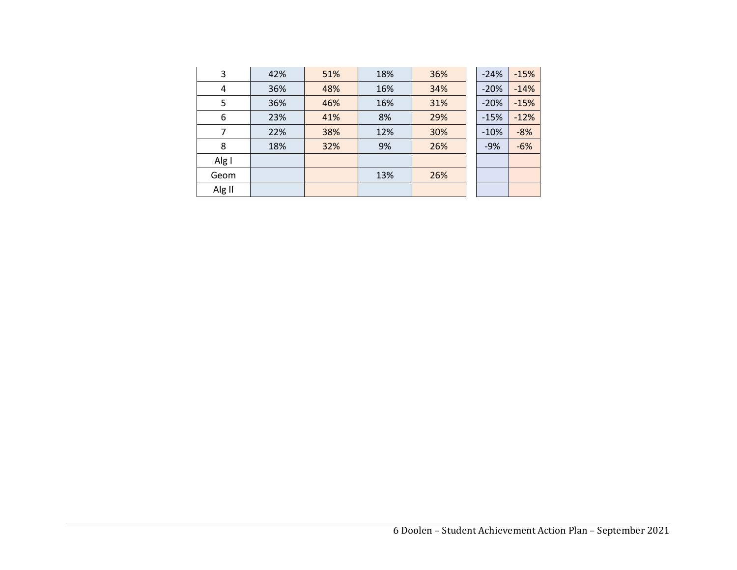| 3      | 42% | 51% | 18% | 36% | $-24%$ | $-15%$ |
|--------|-----|-----|-----|-----|--------|--------|
| 4      | 36% | 48% | 16% | 34% | $-20%$ | $-14%$ |
| 5      | 36% | 46% | 16% | 31% | $-20%$ | $-15%$ |
| 6      | 23% | 41% | 8%  | 29% | $-15%$ | $-12%$ |
| 7      | 22% | 38% | 12% | 30% | $-10%$ | $-8%$  |
| 8      | 18% | 32% | 9%  | 26% | $-9%$  | $-6%$  |
| Alg I  |     |     |     |     |        |        |
| Geom   |     |     | 13% | 26% |        |        |
| Alg II |     |     |     |     |        |        |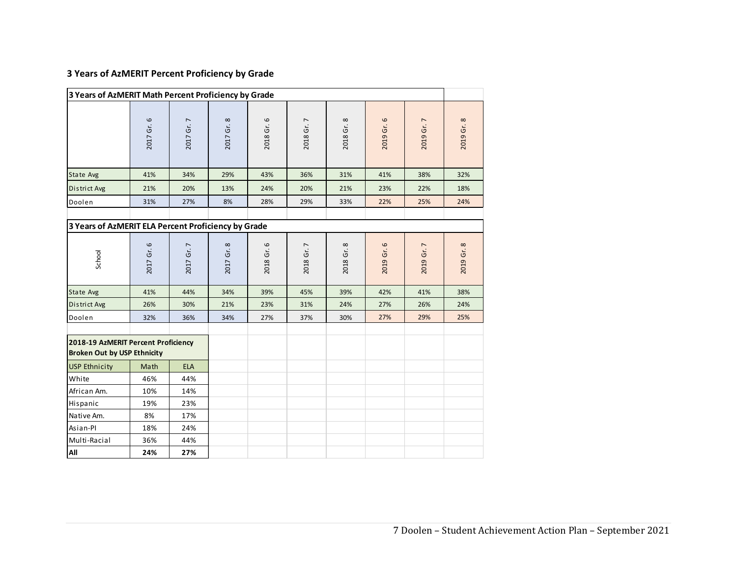# **3 Years of AzMERIT Percent Proficiency by Grade**

| 3 Years of AzMERIT Math Percent Proficiency by Grade                      |            |            |                      |            |            |            |            |            |            |
|---------------------------------------------------------------------------|------------|------------|----------------------|------------|------------|------------|------------|------------|------------|
|                                                                           | 2017 Gr. 6 | 2017 Gr. 7 | 2017 Gr. 8           | 2018 Gr. 6 | 2018 Gr. 7 | 2018 Gr. 8 | 2019 Gr. 6 | 2019 Gr. 7 | 2019 Gr. 8 |
| State Avg                                                                 | 41%        | 34%        | 29%                  | 43%        | 36%        | 31%        | 41%        | 38%        | 32%        |
| District Avg                                                              | 21%        | 20%        | 13%                  | 24%        | 20%        | 21%        | 23%        | 22%        | 18%        |
| Doolen                                                                    | 31%        | 27%        | 8%                   | 28%        | 29%        | 33%        | 22%        | 25%        | 24%        |
|                                                                           |            |            |                      |            |            |            |            |            |            |
| 3 Years of AzMERIT ELA Percent Proficiency by Grade                       |            |            |                      |            |            |            |            |            |            |
| School                                                                    | 2017 Gr. 6 | 2017 Gr. 7 | $\infty$<br>2017 Gr. | 2018 Gr. 6 | 2018 Gr. 7 | 2018 Gr. 8 | 2019 Gr. 6 | 2019 Gr. 7 | 2019 Gr. 8 |
| State Avg                                                                 | 41%        | 44%        | 34%                  | 39%        | 45%        | 39%        | 42%        | 41%        | 38%        |
| District Avg                                                              | 26%        | 30%        | 21%                  | 23%        | 31%        | 24%        | 27%        | 26%        | 24%        |
| Doolen                                                                    | 32%        | 36%        | 34%                  | 27%        | 37%        | 30%        | 27%        | 29%        | 25%        |
| 2018-19 AzMERIT Percent Proficiency<br><b>Broken Out by USP Ethnicity</b> |            |            |                      |            |            |            |            |            |            |
| <b>USP Ethnicity</b>                                                      | Math       | <b>ELA</b> |                      |            |            |            |            |            |            |
| White                                                                     | 46%        | 44%        |                      |            |            |            |            |            |            |
| African Am.                                                               | 10%        | 14%        |                      |            |            |            |            |            |            |
| Hispanic                                                                  | 19%        | 23%        |                      |            |            |            |            |            |            |
| Native Am.                                                                | 8%         | 17%        |                      |            |            |            |            |            |            |
| Asian-Pl                                                                  | 18%        | 24%        |                      |            |            |            |            |            |            |
| Multi-Racial                                                              | 36%        | 44%        |                      |            |            |            |            |            |            |
| All                                                                       | 24%        | 27%        |                      |            |            |            |            |            |            |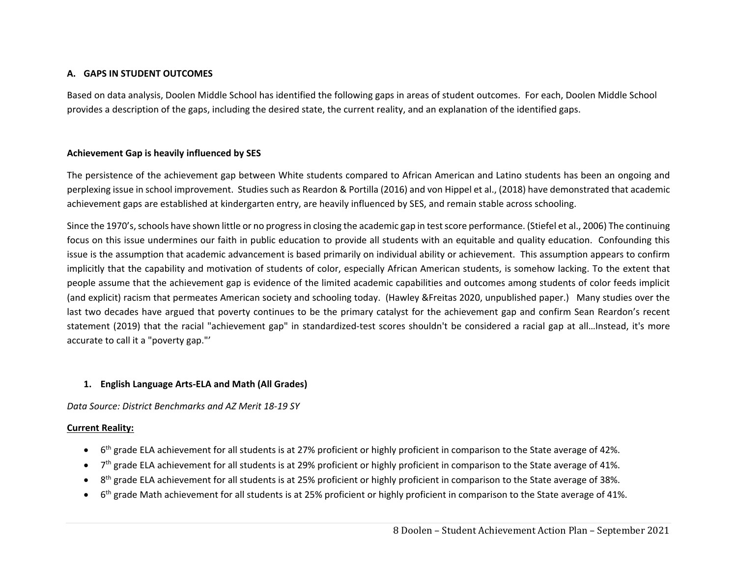### **A. GAPS IN STUDENT OUTCOMES**

Based on data analysis, Doolen Middle School has identified the following gaps in areas of student outcomes. For each, Doolen Middle School provides a description of the gaps, including the desired state, the current reality, and an explanation of the identified gaps.

### **Achievement Gap is heavily influenced by SES**

The persistence of the achievement gap between White students compared to African American and Latino students has been an ongoing and perplexing issue in school improvement. Studies such as Reardon & Portilla (2016) and von Hippel et al., (2018) have demonstrated that academic achievement gaps are established at kindergarten entry, are heavily influenced by SES, and remain stable across schooling.

Since the 1970's, schools have shown little or no progress in closing the academic gap in test score performance. (Stiefel et al., 2006) The continuing focus on this issue undermines our faith in public education to provide all students with an equitable and quality education. Confounding this issue is the assumption that academic advancement is based primarily on individual ability or achievement. This assumption appears to confirm implicitly that the capability and motivation of students of color, especially African American students, is somehow lacking. To the extent that people assume that the achievement gap is evidence of the limited academic capabilities and outcomes among students of color feeds implicit (and explicit) racism that permeates American society and schooling today. (Hawley &Freitas 2020, unpublished paper.) Many studies over the last two decades have argued that poverty continues to be the primary catalyst for the achievement gap and confirm Sean Reardon's recent statement (2019) that the racial "achievement gap" in standardized-test scores shouldn't be considered a racial gap at all...Instead, it's more accurate to call it a "poverty gap."'

### **1. English Language Arts‐ELA and Math (All Grades)**

*Data Source: District Benchmarks and AZ Merit 18‐19 SY* 

### **Current Reality:**

- $\bullet$ 6<sup>th</sup> grade ELA achievement for all students is at 27% proficient or highly proficient in comparison to the State average of 42%.
- $\bullet$ 7<sup>th</sup> grade ELA achievement for all students is at 29% proficient or highly proficient in comparison to the State average of 41%.
- $\bullet$ 8<sup>th</sup> grade ELA achievement for all students is at 25% proficient or highly proficient in comparison to the State average of 38%.
- $\bullet$ 6<sup>th</sup> grade Math achievement for all students is at 25% proficient or highly proficient in comparison to the State average of 41%.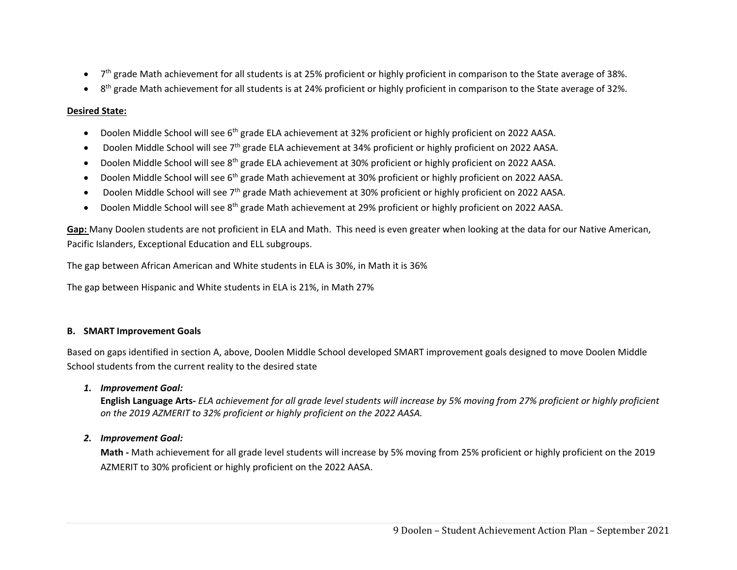- $\bullet$ 7<sup>th</sup> grade Math achievement for all students is at 25% proficient or highly proficient in comparison to the State average of 38%.
- 0 8<sup>th</sup> grade Math achievement for all students is at 24% proficient or highly proficient in comparison to the State average of 32%.

# **Desired State:**

- $\bullet$ Doolen Middle School will see 6<sup>th</sup> grade ELA achievement at 32% proficient or highly proficient on 2022 AASA.
- $\bullet$ Doolen Middle School will see 7<sup>th</sup> grade ELA achievement at 34% proficient or highly proficient on 2022 AASA.
- $\bullet$ Doolen Middle School will see 8th grade ELA achievement at 30% proficient or highly proficient on 2022 AASA.
- $\bullet$ Doolen Middle School will see 6<sup>th</sup> grade Math achievement at 30% proficient or highly proficient on 2022 AASA.
- $\bullet$ Doolen Middle School will see 7<sup>th</sup> grade Math achievement at 30% proficient or highly proficient on 2022 AASA.
- $\bullet$ Doolen Middle School will see 8<sup>th</sup> grade Math achievement at 29% proficient or highly proficient on 2022 AASA.

**Gap:** Many Doolen students are not proficient in ELA and Math. This need is even greater when looking at the data for our Native American, Pacific Islanders, Exceptional Education and ELL subgroups.

The gap between African American and White students in ELA is 30%, in Math it is 36%

The gap between Hispanic and White students in ELA is 21%, in Math 27%

# **B. SMART Improvement Goals**

Based on gaps identified in section A, above, Doolen Middle School developed SMART improvement goals designed to move Doolen Middle School students from the current reality to the desired state

# *1. Improvement Goal:*

**English Language Arts***‐ ELA achievement for all grade level students will increase by 5% moving from 27% proficient or highly proficient on the 2019 AZMERIT to 32% proficient or highly proficient on the 2022 AASA.* 

# *2. Improvement Goal:*

**Math ‐** Math achievement for all grade level students will increase by 5% moving from 25% proficient or highly proficient on the 2019 AZMERIT to 30% proficient or highly proficient on the 2022 AASA.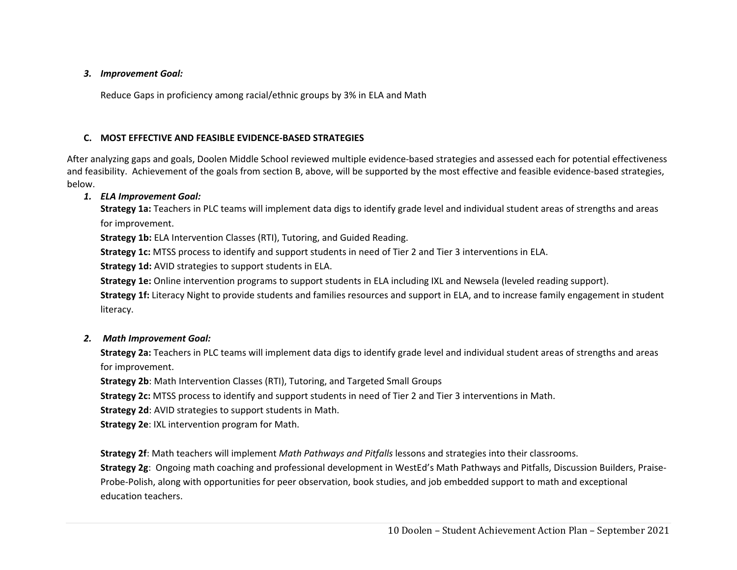#### *3. Improvement Goal:*

Reduce Gaps in proficiency among racial/ethnic groups by 3% in ELA and Math

# **C. MOST EFFECTIVE AND FEASIBLE EVIDENCE‐BASED STRATEGIES**

After analyzing gaps and goals, Doolen Middle School reviewed multiple evidence‐based strategies and assessed each for potential effectiveness and feasibility. Achievement of the goals from section B, above, will be supported by the most effective and feasible evidence‐based strategies, below.

### *1. ELA Improvement Goal:*

**Strategy 1a:** Teachers in PLC teams will implement data digs to identify grade level and individual student areas of strengths and areas for improvement.

**Strategy 1b:** ELA Intervention Classes (RTI), Tutoring, and Guided Reading.

**Strategy 1c:** MTSS process to identify and support students in need of Tier 2 and Tier 3 interventions in ELA.

**Strategy 1d:** AVID strategies to support students in ELA.

**Strategy 1e:** Online intervention programs to support students in ELA including IXL and Newsela (leveled reading support).

**Strategy 1f:** Literacy Night to provide students and families resources and support in ELA, and to increase family engagement in student literacy.

### *2. Math Improvement Goal:*

**Strategy 2a:** Teachers in PLC teams will implement data digs to identify grade level and individual student areas of strengths and areas for improvement.

**Strategy 2b**: Math Intervention Classes (RTI), Tutoring, and Targeted Small Groups

**Strategy 2c:** MTSS process to identify and support students in need of Tier 2 and Tier 3 interventions in Math.

**Strategy 2d**: AVID strategies to support students in Math.

**Strategy 2e**: IXL intervention program for Math.

**Strategy 2f**: Math teachers will implement *Math Pathways and Pitfalls* lessons and strategies into their classrooms.

**Strategy 2g**: Ongoing math coaching and professional development in WestEd's Math Pathways and Pitfalls, Discussion Builders, Praise‐ Probe‐Polish, along with opportunities for peer observation, book studies, and job embedded support to math and exceptional education teachers.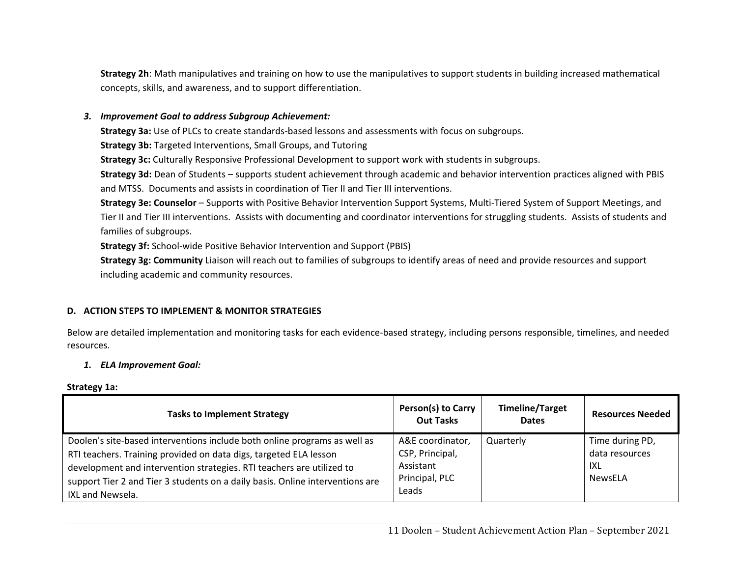**Strategy 2h**: Math manipulatives and training on how to use the manipulatives to support students in building increased mathematical concepts, skills, and awareness, and to support differentiation.

#### *3. Improvement Goal to address Subgroup Achievement:*

**Strategy 3a:** Use of PLCs to create standards‐based lessons and assessments with focus on subgroups.

**Strategy 3b:** Targeted Interventions, Small Groups, and Tutoring

**Strategy 3c:** Culturally Responsive Professional Development to support work with students in subgroups.

**Strategy 3d:** Dean of Students – supports student achievement through academic and behavior intervention practices aligned with PBIS and MTSS. Documents and assists in coordination of Tier II and Tier III interventions.

**Strategy 3e: Counselor** – Supports with Positive Behavior Intervention Support Systems, Multi‐Tiered System of Support Meetings, and Tier II and Tier III interventions. Assists with documenting and coordinator interventions for struggling students. Assists of students and families of subgroups.

**Strategy 3f:** School‐wide Positive Behavior Intervention and Support (PBIS)

**Strategy 3g: Community** Liaison will reach out to families of subgroups to identify areas of need and provide resources and support including academic and community resources.

### **D. ACTION STEPS TO IMPLEMENT & MONITOR STRATEGIES**

Below are detailed implementation and monitoring tasks for each evidence‐based strategy, including persons responsible, timelines, and needed resources.

#### *1. ELA Improvement Goal:*

#### **Strategy 1a:**

| <b>Tasks to Implement Strategy</b>                                                                                                                                                                                                                                                                                           | Person(s) to Carry<br><b>Out Tasks</b>                                      | <b>Timeline/Target</b><br><b>Dates</b> | <b>Resources Needed</b>                             |
|------------------------------------------------------------------------------------------------------------------------------------------------------------------------------------------------------------------------------------------------------------------------------------------------------------------------------|-----------------------------------------------------------------------------|----------------------------------------|-----------------------------------------------------|
| Doolen's site-based interventions include both online programs as well as<br>RTI teachers. Training provided on data digs, targeted ELA lesson<br>development and intervention strategies. RTI teachers are utilized to<br>support Tier 2 and Tier 3 students on a daily basis. Online interventions are<br>IXL and Newsela. | A&E coordinator,<br>CSP, Principal,<br>Assistant<br>Principal, PLC<br>Leads | Quarterly                              | Time during PD,<br>data resources<br>IXL<br>NewsELA |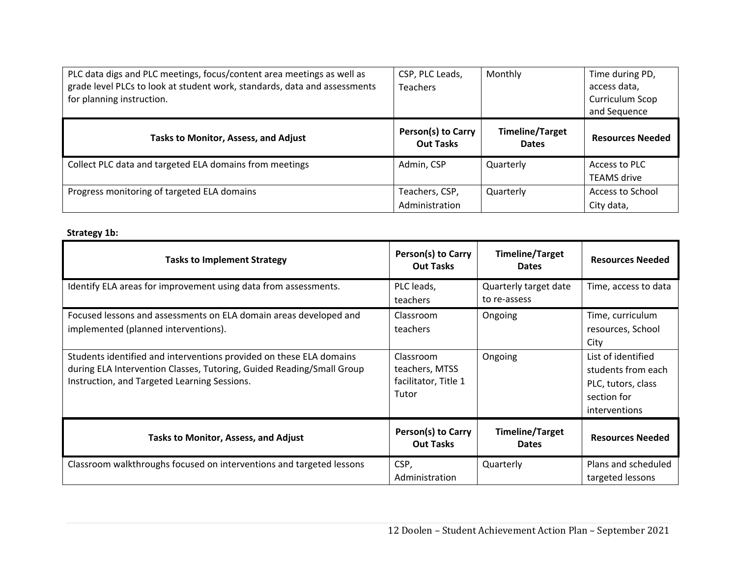| PLC data digs and PLC meetings, focus/content area meetings as well as    | CSP, PLC Leads,                               | Monthly                                | Time during PD,         |
|---------------------------------------------------------------------------|-----------------------------------------------|----------------------------------------|-------------------------|
| grade level PLCs to look at student work, standards, data and assessments | <b>Teachers</b>                               |                                        | access data,            |
| for planning instruction.                                                 |                                               |                                        | Curriculum Scop         |
|                                                                           |                                               |                                        | and Sequence            |
| <b>Tasks to Monitor, Assess, and Adjust</b>                               | <b>Person(s) to Carry</b><br><b>Out Tasks</b> | <b>Timeline/Target</b><br><b>Dates</b> | <b>Resources Needed</b> |
| Collect PLC data and targeted ELA domains from meetings                   | Admin, CSP                                    | Quarterly                              | Access to PLC           |
|                                                                           |                                               |                                        | <b>TEAMS</b> drive      |
| Progress monitoring of targeted ELA domains                               | Teachers, CSP,                                | Quarterly                              | Access to School        |
|                                                                           | Administration                                |                                        | City data,              |

# **Strategy 1b:**

| <b>Tasks to Implement Strategy</b>                                                                                                                                                           | Person(s) to Carry<br><b>Out Tasks</b>                       | <b>Timeline/Target</b><br><b>Dates</b> | <b>Resources Needed</b>                                                                        |
|----------------------------------------------------------------------------------------------------------------------------------------------------------------------------------------------|--------------------------------------------------------------|----------------------------------------|------------------------------------------------------------------------------------------------|
| Identify ELA areas for improvement using data from assessments.                                                                                                                              | PLC leads,<br>teachers                                       | Quarterly target date<br>to re-assess  | Time, access to data                                                                           |
| Focused lessons and assessments on ELA domain areas developed and<br>implemented (planned interventions).                                                                                    | Classroom<br>teachers                                        | Ongoing                                | Time, curriculum<br>resources, School<br>City                                                  |
| Students identified and interventions provided on these ELA domains<br>during ELA Intervention Classes, Tutoring, Guided Reading/Small Group<br>Instruction, and Targeted Learning Sessions. | Classroom<br>teachers, MTSS<br>facilitator, Title 1<br>Tutor | Ongoing                                | List of identified<br>students from each<br>PLC, tutors, class<br>section for<br>interventions |
| <b>Tasks to Monitor, Assess, and Adjust</b>                                                                                                                                                  | Person(s) to Carry<br><b>Out Tasks</b>                       | <b>Timeline/Target</b><br><b>Dates</b> | <b>Resources Needed</b>                                                                        |
| Classroom walkthroughs focused on interventions and targeted lessons                                                                                                                         | CSP,<br>Administration                                       | Quarterly                              | Plans and scheduled<br>targeted lessons                                                        |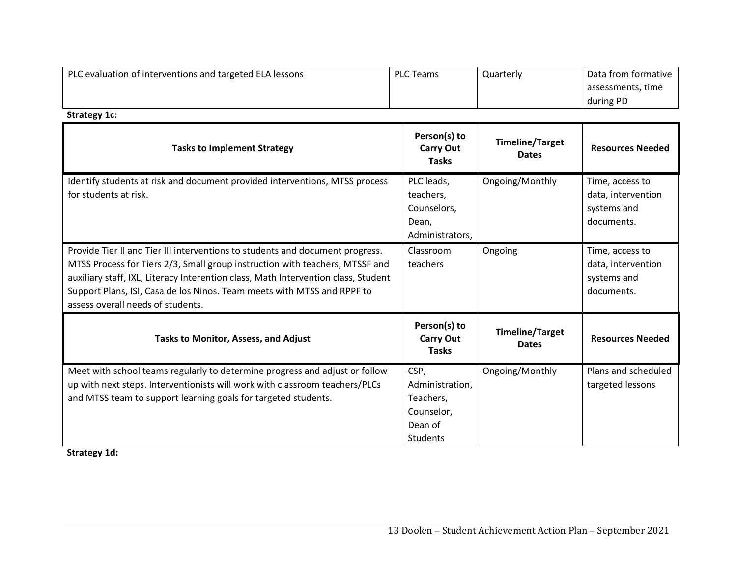| PLC evaluation of interventions and targeted ELA lessons | PLC Teams | Quarterly | Data from formative |
|----------------------------------------------------------|-----------|-----------|---------------------|
|                                                          |           |           | assessments, time   |
|                                                          |           |           | during PD           |

**Strategy 1c:** 

| <b>Tasks to Implement Strategy</b>                                                                                                                                                                                                                                                                                                                                  | Person(s) to<br><b>Carry Out</b><br><b>Tasks</b>                                 | <b>Timeline/Target</b><br><b>Dates</b> | <b>Resources Needed</b>                                            |
|---------------------------------------------------------------------------------------------------------------------------------------------------------------------------------------------------------------------------------------------------------------------------------------------------------------------------------------------------------------------|----------------------------------------------------------------------------------|----------------------------------------|--------------------------------------------------------------------|
| Identify students at risk and document provided interventions, MTSS process<br>for students at risk.                                                                                                                                                                                                                                                                | PLC leads,<br>teachers,<br>Counselors,<br>Dean,<br>Administrators,               | Ongoing/Monthly                        | Time, access to<br>data, intervention<br>systems and<br>documents. |
| Provide Tier II and Tier III interventions to students and document progress.<br>MTSS Process for Tiers 2/3, Small group instruction with teachers, MTSSF and<br>auxiliary staff, IXL, Literacy Interention class, Math Intervention class, Student<br>Support Plans, ISI, Casa de los Ninos. Team meets with MTSS and RPPF to<br>assess overall needs of students. | Classroom<br>teachers                                                            | Ongoing                                | Time, access to<br>data, intervention<br>systems and<br>documents. |
| Tasks to Monitor, Assess, and Adjust                                                                                                                                                                                                                                                                                                                                | Person(s) to<br><b>Carry Out</b><br><b>Tasks</b>                                 | <b>Timeline/Target</b><br><b>Dates</b> | <b>Resources Needed</b>                                            |
| Meet with school teams regularly to determine progress and adjust or follow<br>up with next steps. Interventionists will work with classroom teachers/PLCs<br>and MTSS team to support learning goals for targeted students.                                                                                                                                        | CSP,<br>Administration,<br>Teachers,<br>Counselor,<br>Dean of<br><b>Students</b> | Ongoing/Monthly                        | Plans and scheduled<br>targeted lessons                            |

**Strategy 1d:**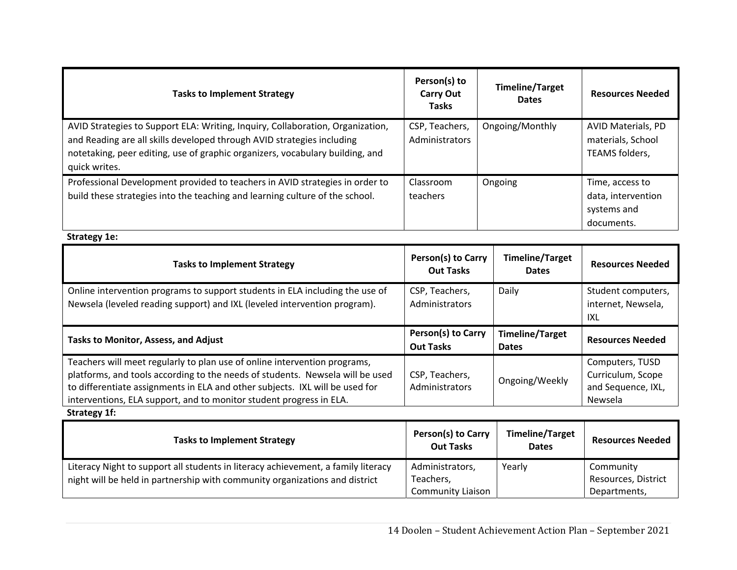| <b>Tasks to Implement Strategy</b>                                                                                                                                                                                                                         | Person(s) to<br><b>Carry Out</b><br><b>Tasks</b> | <b>Timeline/Target</b><br><b>Dates</b> | <b>Resources Needed</b>                                            |
|------------------------------------------------------------------------------------------------------------------------------------------------------------------------------------------------------------------------------------------------------------|--------------------------------------------------|----------------------------------------|--------------------------------------------------------------------|
| AVID Strategies to Support ELA: Writing, Inquiry, Collaboration, Organization,<br>and Reading are all skills developed through AVID strategies including<br>notetaking, peer editing, use of graphic organizers, vocabulary building, and<br>quick writes. | CSP, Teachers,<br>Administrators                 | Ongoing/Monthly                        | AVID Materials, PD<br>materials, School<br>TEAMS folders,          |
| Professional Development provided to teachers in AVID strategies in order to<br>build these strategies into the teaching and learning culture of the school.                                                                                               | Classroom<br>teachers                            | Ongoing                                | Time, access to<br>data, intervention<br>systems and<br>documents. |
| Strategy 1e:                                                                                                                                                                                                                                               |                                                  |                                        |                                                                    |

| <b>Tasks to Implement Strategy</b>                                                                                                                        | Person(s) to Carry<br><b>Out Tasks</b> | Timeline/Target<br><b>Dates</b>        | <b>Resources Needed</b>                                |
|-----------------------------------------------------------------------------------------------------------------------------------------------------------|----------------------------------------|----------------------------------------|--------------------------------------------------------|
| Online intervention programs to support students in ELA including the use of<br>Newsela (leveled reading support) and IXL (leveled intervention program). | CSP, Teachers,<br>Administrators       | Daily                                  | Student computers,<br>internet, Newsela,<br><b>IXL</b> |
|                                                                                                                                                           |                                        |                                        |                                                        |
| <b>Tasks to Monitor, Assess, and Adjust</b>                                                                                                               | Person(s) to Carry<br><b>Out Tasks</b> | <b>Timeline/Target</b><br><b>Dates</b> | <b>Resources Needed</b>                                |

**Strategy 1f:** 

| <b>Tasks to Implement Strategy</b>                                                | Person(s) to Carry<br><b>Out Tasks</b> | <b>Timeline/Target</b><br><b>Dates</b> | <b>Resources Needed</b> |
|-----------------------------------------------------------------------------------|----------------------------------------|----------------------------------------|-------------------------|
| Literacy Night to support all students in literacy achievement, a family literacy | Administrators,                        | Yearly                                 | Community               |
| night will be held in partnership with community organizations and district       | Teachers.                              |                                        | Resources, District     |
|                                                                                   | <b>Community Liaison</b>               |                                        | Departments,            |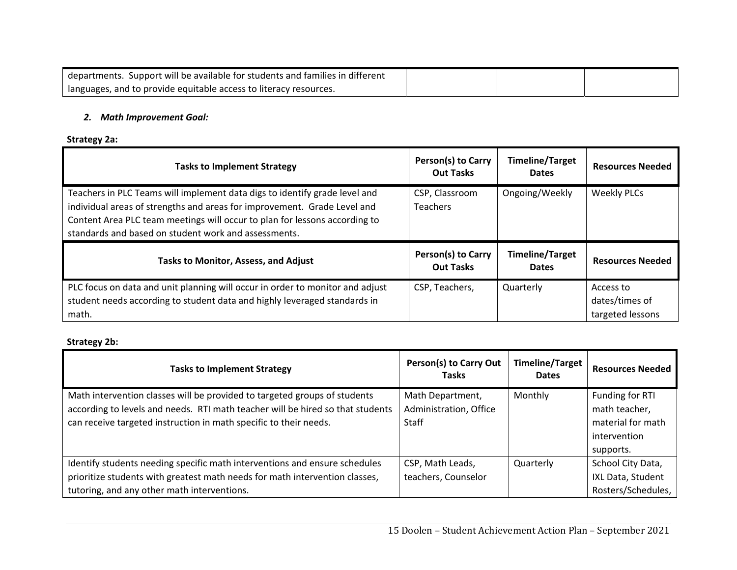| departments. Support will be available for students and families in different |  |  |
|-------------------------------------------------------------------------------|--|--|
| languages, and to provide equitable access to literacy resources.             |  |  |

#### *2. Math Improvement Goal:*

# **Strategy 2a:**

| <b>Tasks to Implement Strategy</b>                                                                                                                                                                                                                                                           | Person(s) to Carry<br><b>Out Tasks</b> | <b>Timeline/Target</b><br><b>Dates</b> | <b>Resources Needed</b> |
|----------------------------------------------------------------------------------------------------------------------------------------------------------------------------------------------------------------------------------------------------------------------------------------------|----------------------------------------|----------------------------------------|-------------------------|
| Teachers in PLC Teams will implement data digs to identify grade level and<br>individual areas of strengths and areas for improvement. Grade Level and<br>Content Area PLC team meetings will occur to plan for lessons according to<br>standards and based on student work and assessments. | CSP, Classroom<br><b>Teachers</b>      | Ongoing/Weekly                         | <b>Weekly PLCs</b>      |
|                                                                                                                                                                                                                                                                                              |                                        |                                        |                         |
| <b>Tasks to Monitor, Assess, and Adjust</b>                                                                                                                                                                                                                                                  | Person(s) to Carry<br><b>Out Tasks</b> | <b>Timeline/Target</b><br><b>Dates</b> | <b>Resources Needed</b> |

# **Strategy 2b:**

| <b>Tasks to Implement Strategy</b>                                             | Person(s) to Carry Out<br><b>Tasks</b> | <b>Timeline/Target</b><br><b>Dates</b> | <b>Resources Needed</b> |
|--------------------------------------------------------------------------------|----------------------------------------|----------------------------------------|-------------------------|
| Math intervention classes will be provided to targeted groups of students      | Math Department,                       | Monthly                                | Funding for RTI         |
| according to levels and needs. RTI math teacher will be hired so that students | Administration, Office                 |                                        | math teacher,           |
| can receive targeted instruction in math specific to their needs.              | <b>Staff</b>                           |                                        | material for math       |
|                                                                                |                                        |                                        | intervention            |
|                                                                                |                                        |                                        | supports.               |
| Identify students needing specific math interventions and ensure schedules     | CSP, Math Leads,                       | Quarterly                              | School City Data,       |
| prioritize students with greatest math needs for math intervention classes,    | teachers, Counselor                    |                                        | IXL Data, Student       |
| tutoring, and any other math interventions.                                    |                                        |                                        | Rosters/Schedules,      |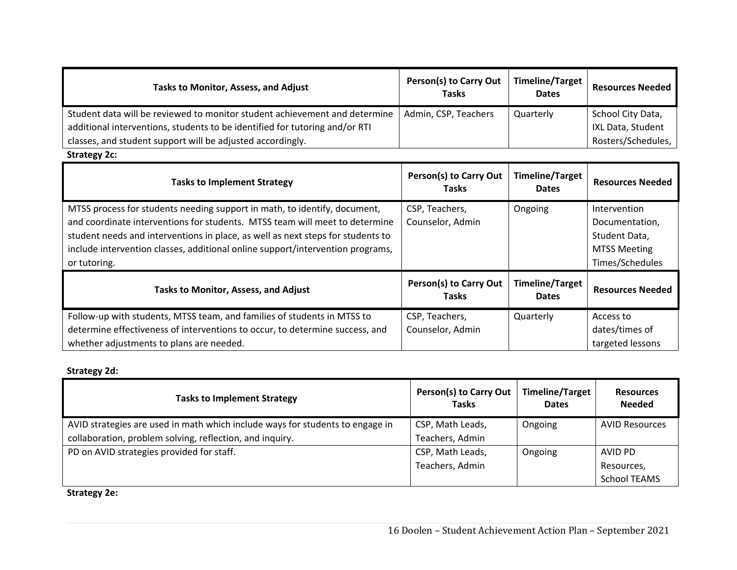| Tasks to Monitor, Assess, and Adjust                                        | Person(s) to Carry Out<br><b>Tasks</b> | Timeline/Target<br><b>Dates</b> | <b>Resources Needed</b> |
|-----------------------------------------------------------------------------|----------------------------------------|---------------------------------|-------------------------|
| Student data will be reviewed to monitor student achievement and determine  | Admin, CSP, Teachers                   | Quarterly                       | School City Data,       |
| additional interventions, students to be identified for tutoring and/or RTI |                                        |                                 | IXL Data, Student       |
| classes, and student support will be adjusted accordingly.                  |                                        |                                 | Rosters/Schedules,      |

Strategy 2c:

| <b>Tasks to Implement Strategy</b>                                                                                                                                                                                                                                                                                                            | Person(s) to Carry Out<br>Tasks        | <b>Timeline/Target</b><br><b>Dates</b> | <b>Resources Needed</b>                                                                   |
|-----------------------------------------------------------------------------------------------------------------------------------------------------------------------------------------------------------------------------------------------------------------------------------------------------------------------------------------------|----------------------------------------|----------------------------------------|-------------------------------------------------------------------------------------------|
| MTSS process for students needing support in math, to identify, document,<br>and coordinate interventions for students. MTSS team will meet to determine<br>student needs and interventions in place, as well as next steps for students to<br>include intervention classes, additional online support/intervention programs,<br>or tutoring. | CSP, Teachers,<br>Counselor, Admin     | Ongoing                                | Intervention<br>Documentation,<br>Student Data,<br><b>MTSS Meeting</b><br>Times/Schedules |
| <b>Tasks to Monitor, Assess, and Adjust</b>                                                                                                                                                                                                                                                                                                   | Person(s) to Carry Out<br><b>Tasks</b> | <b>Timeline/Target</b><br><b>Dates</b> | <b>Resources Needed</b>                                                                   |
| Follow-up with students, MTSS team, and families of students in MTSS to<br>determine effectiveness of interventions to occur, to determine success, and<br>whether adjustments to plans are needed.                                                                                                                                           | CSP, Teachers,<br>Counselor, Admin     | Quarterly                              | Access to<br>dates/times of<br>targeted lessons                                           |

# **Strategy 2d:**

| <b>Tasks to Implement Strategy</b>                                            | Person(s) to Carry Out<br><b>Tasks</b> | <b>Timeline/Target</b><br><b>Dates</b> | <b>Resources</b><br><b>Needed</b> |
|-------------------------------------------------------------------------------|----------------------------------------|----------------------------------------|-----------------------------------|
| AVID strategies are used in math which include ways for students to engage in | CSP, Math Leads,                       | Ongoing                                | <b>AVID Resources</b>             |
| collaboration, problem solving, reflection, and inquiry.                      | Teachers, Admin                        |                                        |                                   |
| PD on AVID strategies provided for staff.                                     | CSP, Math Leads,                       | Ongoing                                | AVID PD                           |
|                                                                               | Teachers, Admin                        |                                        | Resources,                        |
|                                                                               |                                        |                                        | <b>School TEAMS</b>               |

**Strategy 2e:**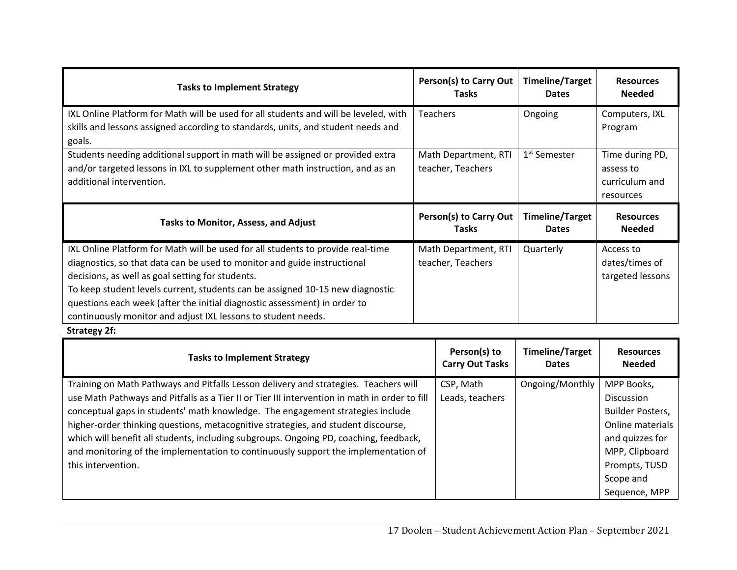| <b>Tasks to Implement Strategy</b>                                                                                                                                                                                                                                                                                                                                                                                                             | Person(s) to Carry Out<br><b>Tasks</b>    | <b>Timeline/Target</b><br><b>Dates</b> | <b>Resources</b><br><b>Needed</b>                           |
|------------------------------------------------------------------------------------------------------------------------------------------------------------------------------------------------------------------------------------------------------------------------------------------------------------------------------------------------------------------------------------------------------------------------------------------------|-------------------------------------------|----------------------------------------|-------------------------------------------------------------|
| IXL Online Platform for Math will be used for all students and will be leveled, with<br>skills and lessons assigned according to standards, units, and student needs and<br>goals.                                                                                                                                                                                                                                                             | <b>Teachers</b>                           | Ongoing                                | Computers, IXL<br>Program                                   |
| Students needing additional support in math will be assigned or provided extra<br>and/or targeted lessons in IXL to supplement other math instruction, and as an<br>additional intervention.                                                                                                                                                                                                                                                   | Math Department, RTI<br>teacher, Teachers | 1 <sup>st</sup> Semester               | Time during PD,<br>assess to<br>curriculum and<br>resources |
| <b>Tasks to Monitor, Assess, and Adjust</b>                                                                                                                                                                                                                                                                                                                                                                                                    | Person(s) to Carry Out<br><b>Tasks</b>    | <b>Timeline/Target</b><br><b>Dates</b> | <b>Resources</b><br><b>Needed</b>                           |
| IXL Online Platform for Math will be used for all students to provide real-time<br>diagnostics, so that data can be used to monitor and guide instructional<br>decisions, as well as goal setting for students.<br>To keep student levels current, students can be assigned 10-15 new diagnostic<br>questions each week (after the initial diagnostic assessment) in order to<br>continuously monitor and adjust IXL lessons to student needs. | Math Department, RTI<br>teacher, Teachers | Quarterly                              | Access to<br>dates/times of<br>targeted lessons             |

# **Strategy 2f:**

| <b>Tasks to Implement Strategy</b>                                                            | Person(s) to<br><b>Carry Out Tasks</b> | <b>Timeline/Target</b><br><b>Dates</b> | <b>Resources</b><br><b>Needed</b> |
|-----------------------------------------------------------------------------------------------|----------------------------------------|----------------------------------------|-----------------------------------|
| Training on Math Pathways and Pitfalls Lesson delivery and strategies. Teachers will          | CSP, Math                              | Ongoing/Monthly                        | MPP Books,                        |
| use Math Pathways and Pitfalls as a Tier II or Tier III intervention in math in order to fill | Leads, teachers                        |                                        | <b>Discussion</b>                 |
| conceptual gaps in students' math knowledge. The engagement strategies include                |                                        |                                        | Builder Posters,                  |
| higher-order thinking questions, metacognitive strategies, and student discourse,             |                                        |                                        | Online materials                  |
| which will benefit all students, including subgroups. Ongoing PD, coaching, feedback,         |                                        |                                        | and quizzes for                   |
| and monitoring of the implementation to continuously support the implementation of            |                                        |                                        | MPP, Clipboard                    |
| this intervention.                                                                            |                                        |                                        | Prompts, TUSD                     |
|                                                                                               |                                        |                                        | Scope and                         |
|                                                                                               |                                        |                                        | Sequence, MPP                     |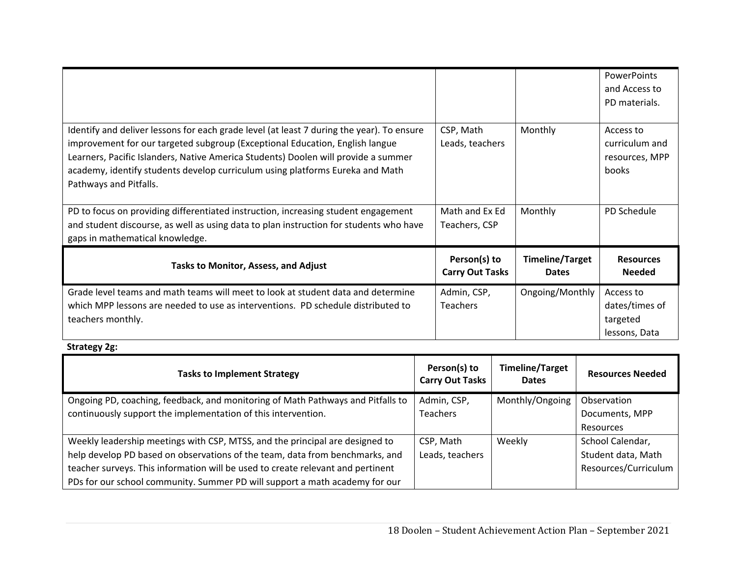|                                                                                                                                                                                                                                                                                                                                                                            |                                        |                                        | PowerPoints<br>and Access to<br>PD materials.            |
|----------------------------------------------------------------------------------------------------------------------------------------------------------------------------------------------------------------------------------------------------------------------------------------------------------------------------------------------------------------------------|----------------------------------------|----------------------------------------|----------------------------------------------------------|
| Identify and deliver lessons for each grade level (at least 7 during the year). To ensure<br>improvement for our targeted subgroup (Exceptional Education, English langue<br>Learners, Pacific Islanders, Native America Students) Doolen will provide a summer<br>academy, identify students develop curriculum using platforms Eureka and Math<br>Pathways and Pitfalls. | CSP, Math<br>Leads, teachers           | Monthly                                | Access to<br>curriculum and<br>resources, MPP<br>books   |
| PD to focus on providing differentiated instruction, increasing student engagement<br>and student discourse, as well as using data to plan instruction for students who have<br>gaps in mathematical knowledge.                                                                                                                                                            | Math and Ex Ed<br>Teachers, CSP        | Monthly                                | PD Schedule                                              |
| <b>Tasks to Monitor, Assess, and Adjust</b>                                                                                                                                                                                                                                                                                                                                | Person(s) to<br><b>Carry Out Tasks</b> | <b>Timeline/Target</b><br><b>Dates</b> | <b>Resources</b><br><b>Needed</b>                        |
| Grade level teams and math teams will meet to look at student data and determine<br>which MPP lessons are needed to use as interventions. PD schedule distributed to<br>teachers monthly.                                                                                                                                                                                  | Admin, CSP,<br><b>Teachers</b>         | Ongoing/Monthly                        | Access to<br>dates/times of<br>targeted<br>lessons, Data |

**Strategy 2g:** 

| <b>Tasks to Implement Strategy</b>                                              | Person(s) to<br><b>Carry Out Tasks</b> | <b>Timeline/Target</b><br><b>Dates</b> | <b>Resources Needed</b> |
|---------------------------------------------------------------------------------|----------------------------------------|----------------------------------------|-------------------------|
| Ongoing PD, coaching, feedback, and monitoring of Math Pathways and Pitfalls to | Admin, CSP,                            | Monthly/Ongoing                        | Observation             |
| continuously support the implementation of this intervention.                   | <b>Teachers</b>                        |                                        | Documents, MPP          |
|                                                                                 |                                        |                                        | Resources               |
| Weekly leadership meetings with CSP, MTSS, and the principal are designed to    | CSP, Math                              | Weekly                                 | School Calendar,        |
| help develop PD based on observations of the team, data from benchmarks, and    | Leads, teachers                        |                                        | Student data, Math      |
| teacher surveys. This information will be used to create relevant and pertinent |                                        |                                        | Resources/Curriculum    |
| PDs for our school community. Summer PD will support a math academy for our     |                                        |                                        |                         |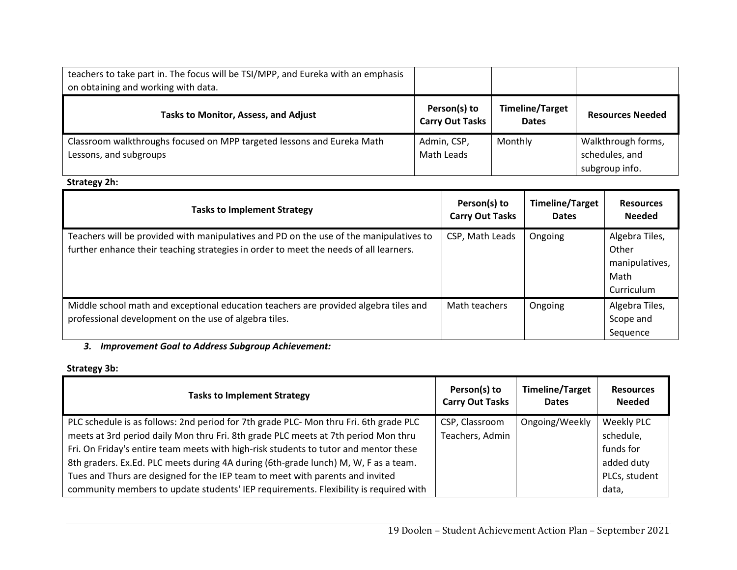| teachers to take part in. The focus will be TSI/MPP, and Eureka with an emphasis<br>on obtaining and working with data. |                                        |                                        |                                                        |
|-------------------------------------------------------------------------------------------------------------------------|----------------------------------------|----------------------------------------|--------------------------------------------------------|
| <b>Tasks to Monitor, Assess, and Adjust</b>                                                                             | Person(s) to<br><b>Carry Out Tasks</b> | <b>Timeline/Target</b><br><b>Dates</b> | <b>Resources Needed</b>                                |
| Classroom walkthroughs focused on MPP targeted lessons and Eureka Math<br>Lessons, and subgroups                        | Admin, CSP,<br>Math Leads              | Monthly                                | Walkthrough forms,<br>schedules, and<br>subgroup info. |

# **Strategy 2h:**

| <b>Tasks to Implement Strategy</b>                                                                                                                                              | Person(s) to<br><b>Carry Out Tasks</b> | <b>Timeline/Target</b><br><b>Dates</b> | <b>Resources</b><br><b>Needed</b>                               |
|---------------------------------------------------------------------------------------------------------------------------------------------------------------------------------|----------------------------------------|----------------------------------------|-----------------------------------------------------------------|
| Teachers will be provided with manipulatives and PD on the use of the manipulatives to<br>further enhance their teaching strategies in order to meet the needs of all learners. | CSP, Math Leads                        | Ongoing                                | Algebra Tiles,<br>Other<br>manipulatives,<br>Math<br>Curriculum |
| Middle school math and exceptional education teachers are provided algebra tiles and<br>professional development on the use of algebra tiles.                                   | Math teachers                          | Ongoing                                | Algebra Tiles,<br>Scope and<br>Sequence                         |

#### *3. Improvement Goal to Address Subgroup Achievement:*

# **Strategy 3b:**

| <b>Tasks to Implement Strategy</b>                                                    | Person(s) to<br><b>Carry Out Tasks</b> | <b>Timeline/Target</b><br><b>Dates</b> | <b>Resources</b><br><b>Needed</b> |
|---------------------------------------------------------------------------------------|----------------------------------------|----------------------------------------|-----------------------------------|
| PLC schedule is as follows: 2nd period for 7th grade PLC- Mon thru Fri. 6th grade PLC | CSP, Classroom                         | Ongoing/Weekly                         | <b>Weekly PLC</b>                 |
| meets at 3rd period daily Mon thru Fri. 8th grade PLC meets at 7th period Mon thru    | Teachers, Admin                        |                                        | schedule,                         |
| Fri. On Friday's entire team meets with high-risk students to tutor and mentor these  |                                        |                                        | funds for                         |
| 8th graders. Ex.Ed. PLC meets during 4A during (6th-grade lunch) M, W, F as a team.   |                                        |                                        | added duty                        |
| Tues and Thurs are designed for the IEP team to meet with parents and invited         |                                        |                                        | PLCs, student                     |
| community members to update students' IEP requirements. Flexibility is required with  |                                        |                                        | data,                             |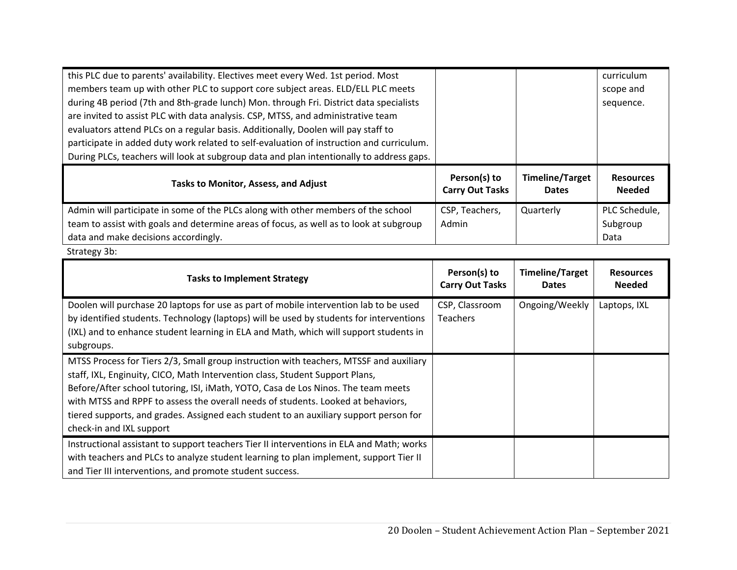| this PLC due to parents' availability. Electives meet every Wed. 1st period. Most        |                                        |                                        | curriculum                        |
|------------------------------------------------------------------------------------------|----------------------------------------|----------------------------------------|-----------------------------------|
| members team up with other PLC to support core subject areas. ELD/ELL PLC meets          |                                        |                                        | scope and                         |
| during 4B period (7th and 8th-grade lunch) Mon. through Fri. District data specialists   |                                        |                                        | sequence.                         |
| are invited to assist PLC with data analysis. CSP, MTSS, and administrative team         |                                        |                                        |                                   |
| evaluators attend PLCs on a regular basis. Additionally, Doolen will pay staff to        |                                        |                                        |                                   |
| participate in added duty work related to self-evaluation of instruction and curriculum. |                                        |                                        |                                   |
| During PLCs, teachers will look at subgroup data and plan intentionally to address gaps. |                                        |                                        |                                   |
| <b>Tasks to Monitor, Assess, and Adjust</b>                                              | Person(s) to<br><b>Carry Out Tasks</b> | <b>Timeline/Target</b><br><b>Dates</b> | <b>Resources</b><br><b>Needed</b> |
| Admin will participate in some of the PLCs along with other members of the school        | CSP, Teachers,                         | Quarterly                              | PLC Schedule,                     |
| team to assist with goals and determine areas of focus, as well as to look at subgroup   | Admin                                  |                                        | Subgroup                          |
| data and make decisions accordingly.                                                     |                                        |                                        | Data                              |

Strategy 3b:

| <b>Tasks to Implement Strategy</b>                                                                                                                                                                                                                                                                                                                                                                                                                                   | Person(s) to<br><b>Carry Out Tasks</b> | <b>Timeline/Target</b><br><b>Dates</b> | <b>Resources</b><br><b>Needed</b> |
|----------------------------------------------------------------------------------------------------------------------------------------------------------------------------------------------------------------------------------------------------------------------------------------------------------------------------------------------------------------------------------------------------------------------------------------------------------------------|----------------------------------------|----------------------------------------|-----------------------------------|
| Doolen will purchase 20 laptops for use as part of mobile intervention lab to be used<br>by identified students. Technology (laptops) will be used by students for interventions<br>(IXL) and to enhance student learning in ELA and Math, which will support students in<br>subgroups.                                                                                                                                                                              | CSP, Classroom<br><b>Teachers</b>      | Ongoing/Weekly                         | Laptops, IXL                      |
| MTSS Process for Tiers 2/3, Small group instruction with teachers, MTSSF and auxiliary<br>staff, IXL, Enginuity, CICO, Math Intervention class, Student Support Plans,<br>Before/After school tutoring, ISI, iMath, YOTO, Casa de Los Ninos. The team meets<br>with MTSS and RPPF to assess the overall needs of students. Looked at behaviors,<br>tiered supports, and grades. Assigned each student to an auxiliary support person for<br>check-in and IXL support |                                        |                                        |                                   |
| Instructional assistant to support teachers Tier II interventions in ELA and Math; works<br>with teachers and PLCs to analyze student learning to plan implement, support Tier II<br>and Tier III interventions, and promote student success.                                                                                                                                                                                                                        |                                        |                                        |                                   |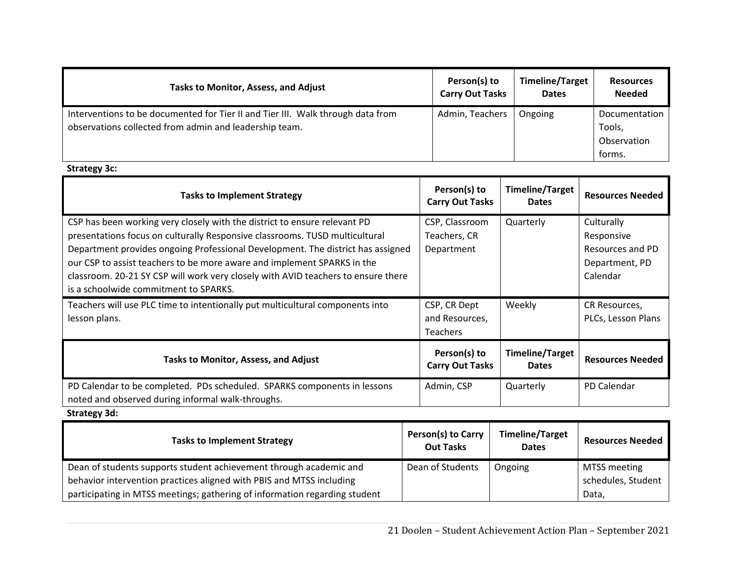| <b>Tasks to Monitor, Assess, and Adjust</b>                                                                                               | Person(s) to<br><b>Carry Out Tasks</b> | <b>Timeline/Target</b><br><b>Dates</b> | <b>Resources</b><br><b>Needed</b>      |
|-------------------------------------------------------------------------------------------------------------------------------------------|----------------------------------------|----------------------------------------|----------------------------------------|
| Interventions to be documented for Tier II and Tier III. Walk through data from<br>observations collected from admin and leadership team. | Admin, Teachers                        | Ongoing                                | Documentation<br>Tools,<br>Observation |
|                                                                                                                                           |                                        |                                        | forms.                                 |

**Strategy 3c:** 

| <b>Tasks to Implement Strategy</b>                                                                                                                                                                                                                                                                                                                                                                                                                   | Person(s) to<br><b>Carry Out Tasks</b>            | <b>Timeline/Target</b><br><b>Dates</b> | <b>Resources Needed</b>                                                    |
|------------------------------------------------------------------------------------------------------------------------------------------------------------------------------------------------------------------------------------------------------------------------------------------------------------------------------------------------------------------------------------------------------------------------------------------------------|---------------------------------------------------|----------------------------------------|----------------------------------------------------------------------------|
| CSP has been working very closely with the district to ensure relevant PD<br>presentations focus on culturally Responsive classrooms. TUSD multicultural<br>Department provides ongoing Professional Development. The district has assigned<br>our CSP to assist teachers to be more aware and implement SPARKS in the<br>classroom. 20-21 SY CSP will work very closely with AVID teachers to ensure there<br>is a schoolwide commitment to SPARKS. | CSP, Classroom<br>Teachers, CR<br>Department      | Quarterly                              | Culturally<br>Responsive<br>Resources and PD<br>Department, PD<br>Calendar |
| Teachers will use PLC time to intentionally put multicultural components into<br>lesson plans.                                                                                                                                                                                                                                                                                                                                                       | CSP, CR Dept<br>and Resources,<br><b>Teachers</b> | Weekly                                 | CR Resources,<br>PLCs, Lesson Plans                                        |
| <b>Tasks to Monitor, Assess, and Adjust</b>                                                                                                                                                                                                                                                                                                                                                                                                          | Person(s) to<br><b>Carry Out Tasks</b>            | <b>Timeline/Target</b><br><b>Dates</b> | <b>Resources Needed</b>                                                    |
| PD Calendar to be completed. PDs scheduled. SPARKS components in lessons<br>noted and observed during informal walk-throughs.<br>Charles and Called                                                                                                                                                                                                                                                                                                  | Admin, CSP                                        | Quarterly                              | PD Calendar                                                                |

**Strategy 3d:** 

| <b>Tasks to Implement Strategy</b>                                         | <b>Person(s) to Carry</b><br><b>Out Tasks</b> | <b>Timeline/Target</b><br><b>Dates</b> | <b>Resources Needed</b> |
|----------------------------------------------------------------------------|-----------------------------------------------|----------------------------------------|-------------------------|
| Dean of students supports student achievement through academic and         | Dean of Students                              | Ongoing                                | MTSS meeting            |
| behavior intervention practices aligned with PBIS and MTSS including       |                                               |                                        | schedules, Student      |
| participating in MTSS meetings; gathering of information regarding student |                                               |                                        | Data,                   |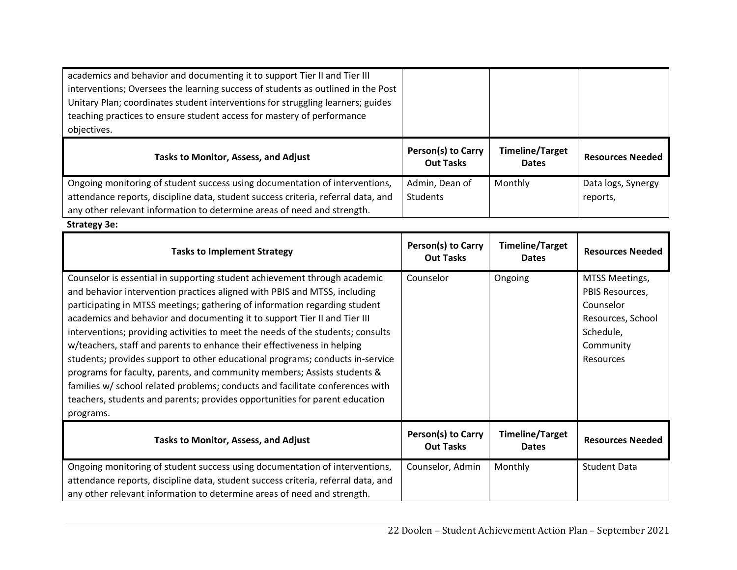| academics and behavior and documenting it to support Tier II and Tier III<br>interventions; Oversees the learning success of students as outlined in the Post<br>Unitary Plan; coordinates student interventions for struggling learners; guides<br>teaching practices to ensure student access for mastery of performance<br>objectives. |                                        |                                        |                                |
|-------------------------------------------------------------------------------------------------------------------------------------------------------------------------------------------------------------------------------------------------------------------------------------------------------------------------------------------|----------------------------------------|----------------------------------------|--------------------------------|
| Tasks to Monitor, Assess, and Adjust                                                                                                                                                                                                                                                                                                      | Person(s) to Carry<br><b>Out Tasks</b> | <b>Timeline/Target</b><br><b>Dates</b> | <b>Resources Needed</b>        |
| Ongoing monitoring of student success using documentation of interventions,<br>attendance reports, discipline data, student success criteria, referral data, and                                                                                                                                                                          | Admin, Dean of<br><b>Students</b>      | Monthly                                | Data logs, Synergy<br>reports, |

**Strategy 3e:** 

| <b>Tasks to Implement Strategy</b>                                                | Person(s) to Carry<br><b>Out Tasks</b> | <b>Timeline/Target</b><br><b>Dates</b> | <b>Resources Needed</b> |
|-----------------------------------------------------------------------------------|----------------------------------------|----------------------------------------|-------------------------|
| Counselor is essential in supporting student achievement through academic         | Counselor                              | Ongoing                                | MTSS Meetings,          |
| and behavior intervention practices aligned with PBIS and MTSS, including         |                                        |                                        | PBIS Resources,         |
| participating in MTSS meetings; gathering of information regarding student        |                                        |                                        | Counselor               |
| academics and behavior and documenting it to support Tier II and Tier III         |                                        |                                        | Resources, School       |
| interventions; providing activities to meet the needs of the students; consults   |                                        |                                        | Schedule,               |
| w/teachers, staff and parents to enhance their effectiveness in helping           |                                        |                                        | Community               |
| students; provides support to other educational programs; conducts in-service     |                                        |                                        | <b>Resources</b>        |
| programs for faculty, parents, and community members; Assists students &          |                                        |                                        |                         |
| families w/ school related problems; conducts and facilitate conferences with     |                                        |                                        |                         |
| teachers, students and parents; provides opportunities for parent education       |                                        |                                        |                         |
| programs.                                                                         |                                        |                                        |                         |
| <b>Tasks to Monitor, Assess, and Adjust</b>                                       | Person(s) to Carry<br><b>Out Tasks</b> | <b>Timeline/Target</b><br><b>Dates</b> | <b>Resources Needed</b> |
| Ongoing monitoring of student success using documentation of interventions,       | Counselor, Admin                       | Monthly                                | <b>Student Data</b>     |
| attendance reports, discipline data, student success criteria, referral data, and |                                        |                                        |                         |
| any other relevant information to determine areas of need and strength.           |                                        |                                        |                         |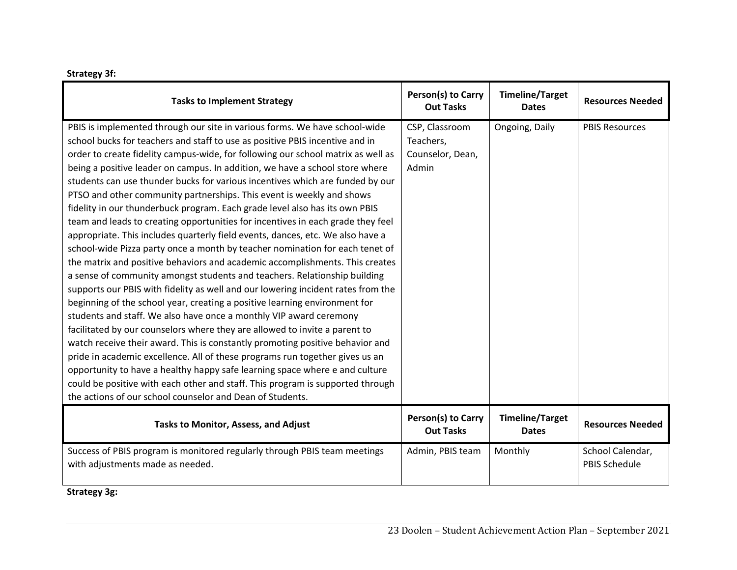| <b>Strategy 3f:</b> |  |
|---------------------|--|
|---------------------|--|

| <b>Tasks to Implement Strategy</b>                                               | Person(s) to Carry<br><b>Out Tasks</b> | <b>Timeline/Target</b><br><b>Dates</b> | <b>Resources Needed</b> |
|----------------------------------------------------------------------------------|----------------------------------------|----------------------------------------|-------------------------|
| PBIS is implemented through our site in various forms. We have school-wide       | CSP, Classroom                         | Ongoing, Daily                         | <b>PBIS Resources</b>   |
| school bucks for teachers and staff to use as positive PBIS incentive and in     | Teachers,                              |                                        |                         |
| order to create fidelity campus-wide, for following our school matrix as well as | Counselor, Dean,                       |                                        |                         |
| being a positive leader on campus. In addition, we have a school store where     | Admin                                  |                                        |                         |
| students can use thunder bucks for various incentives which are funded by our    |                                        |                                        |                         |
| PTSO and other community partnerships. This event is weekly and shows            |                                        |                                        |                         |
| fidelity in our thunderbuck program. Each grade level also has its own PBIS      |                                        |                                        |                         |
| team and leads to creating opportunities for incentives in each grade they feel  |                                        |                                        |                         |
| appropriate. This includes quarterly field events, dances, etc. We also have a   |                                        |                                        |                         |
| school-wide Pizza party once a month by teacher nomination for each tenet of     |                                        |                                        |                         |
| the matrix and positive behaviors and academic accomplishments. This creates     |                                        |                                        |                         |
| a sense of community amongst students and teachers. Relationship building        |                                        |                                        |                         |
| supports our PBIS with fidelity as well and our lowering incident rates from the |                                        |                                        |                         |
| beginning of the school year, creating a positive learning environment for       |                                        |                                        |                         |
| students and staff. We also have once a monthly VIP award ceremony               |                                        |                                        |                         |
| facilitated by our counselors where they are allowed to invite a parent to       |                                        |                                        |                         |
| watch receive their award. This is constantly promoting positive behavior and    |                                        |                                        |                         |
| pride in academic excellence. All of these programs run together gives us an     |                                        |                                        |                         |
| opportunity to have a healthy happy safe learning space where e and culture      |                                        |                                        |                         |
| could be positive with each other and staff. This program is supported through   |                                        |                                        |                         |
| the actions of our school counselor and Dean of Students.                        |                                        |                                        |                         |
| Tasks to Monitor, Assess, and Adjust                                             | Person(s) to Carry<br><b>Out Tasks</b> | <b>Timeline/Target</b><br><b>Dates</b> | <b>Resources Needed</b> |
| Success of PBIS program is monitored regularly through PBIS team meetings        | Admin, PBIS team                       | Monthly                                | School Calendar,        |
| with adjustments made as needed.                                                 |                                        |                                        | <b>PBIS Schedule</b>    |
|                                                                                  |                                        |                                        |                         |

**Strategy 3g:**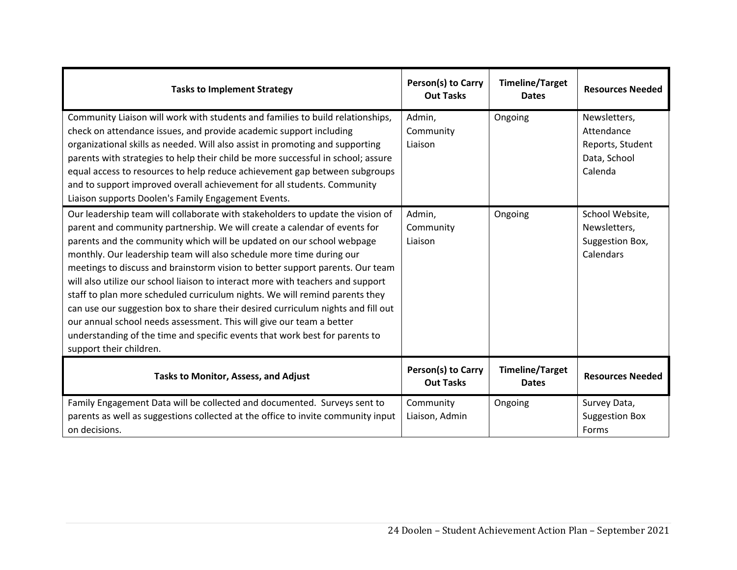| <b>Tasks to Implement Strategy</b>                                                                                                                                                                                                                                                                                                                                                                                                                                                                                                                                                                                                                                                                                                                                                                                                    | Person(s) to Carry<br><b>Out Tasks</b> | <b>Timeline/Target</b><br><b>Dates</b> | <b>Resources Needed</b>                                                   |
|---------------------------------------------------------------------------------------------------------------------------------------------------------------------------------------------------------------------------------------------------------------------------------------------------------------------------------------------------------------------------------------------------------------------------------------------------------------------------------------------------------------------------------------------------------------------------------------------------------------------------------------------------------------------------------------------------------------------------------------------------------------------------------------------------------------------------------------|----------------------------------------|----------------------------------------|---------------------------------------------------------------------------|
| Community Liaison will work with students and families to build relationships,<br>check on attendance issues, and provide academic support including<br>organizational skills as needed. Will also assist in promoting and supporting<br>parents with strategies to help their child be more successful in school; assure<br>equal access to resources to help reduce achievement gap between subgroups<br>and to support improved overall achievement for all students. Community<br>Liaison supports Doolen's Family Engagement Events.                                                                                                                                                                                                                                                                                             | Admin,<br>Community<br>Liaison         | Ongoing                                | Newsletters,<br>Attendance<br>Reports, Student<br>Data, School<br>Calenda |
| Our leadership team will collaborate with stakeholders to update the vision of<br>parent and community partnership. We will create a calendar of events for<br>parents and the community which will be updated on our school webpage<br>monthly. Our leadership team will also schedule more time during our<br>meetings to discuss and brainstorm vision to better support parents. Our team<br>will also utilize our school liaison to interact more with teachers and support<br>staff to plan more scheduled curriculum nights. We will remind parents they<br>can use our suggestion box to share their desired curriculum nights and fill out<br>our annual school needs assessment. This will give our team a better<br>understanding of the time and specific events that work best for parents to<br>support their children. | Admin,<br>Community<br>Liaison         | Ongoing                                | School Website,<br>Newsletters,<br>Suggestion Box,<br>Calendars           |
| <b>Tasks to Monitor, Assess, and Adjust</b>                                                                                                                                                                                                                                                                                                                                                                                                                                                                                                                                                                                                                                                                                                                                                                                           | Person(s) to Carry<br><b>Out Tasks</b> | <b>Timeline/Target</b><br><b>Dates</b> | <b>Resources Needed</b>                                                   |
| Family Engagement Data will be collected and documented. Surveys sent to<br>parents as well as suggestions collected at the office to invite community input<br>on decisions.                                                                                                                                                                                                                                                                                                                                                                                                                                                                                                                                                                                                                                                         | Community<br>Liaison, Admin            | Ongoing                                | Survey Data,<br><b>Suggestion Box</b><br>Forms                            |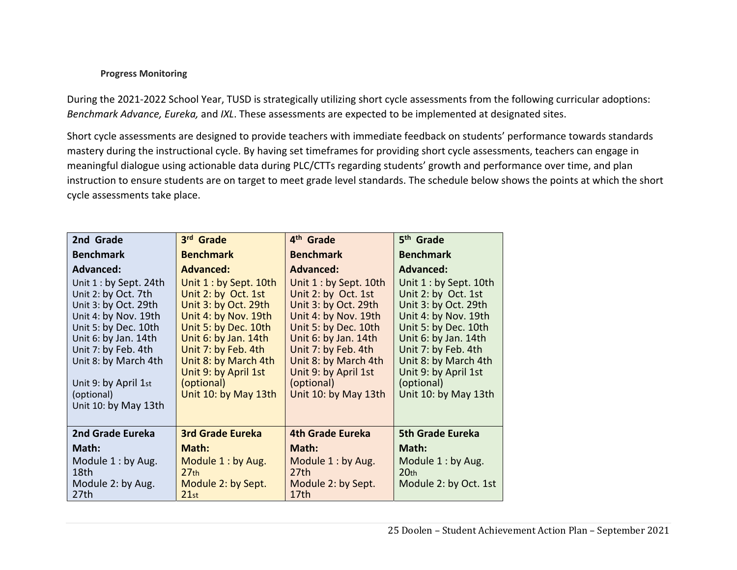### **Progress Monitoring**

During the 2021-2022 School Year, TUSD is strategically utilizing short cycle assessments from the following curricular adoptions: *Benchmark Advance, Eureka,* and *IXL*. These assessments are expected to be implemented at designated sites.

Short cycle assessments are designed to provide teachers with immediate feedback on students' performance towards standards mastery during the instructional cycle. By having set timeframes for providing short cycle assessments, teachers can engage in meaningful dialogue using actionable data during PLC/CTTs regarding students' growth and performance over time, and plan instruction to ensure students are on target to meet grade level standards. The schedule below shows the points at which the short cycle assessments take place.

| 2nd Grade                                                                                                                                                                                                                                                   | 3rd Grade                                                                                                                                                                                                                                                  | 4 <sup>th</sup> Grade                                                                                                                                                                                                                                      | 5 <sup>th</sup> Grade                                                                                                                                                                                                                                      |
|-------------------------------------------------------------------------------------------------------------------------------------------------------------------------------------------------------------------------------------------------------------|------------------------------------------------------------------------------------------------------------------------------------------------------------------------------------------------------------------------------------------------------------|------------------------------------------------------------------------------------------------------------------------------------------------------------------------------------------------------------------------------------------------------------|------------------------------------------------------------------------------------------------------------------------------------------------------------------------------------------------------------------------------------------------------------|
| <b>Benchmark</b>                                                                                                                                                                                                                                            | <b>Benchmark</b>                                                                                                                                                                                                                                           | <b>Benchmark</b>                                                                                                                                                                                                                                           | <b>Benchmark</b>                                                                                                                                                                                                                                           |
| <b>Advanced:</b>                                                                                                                                                                                                                                            | <b>Advanced:</b>                                                                                                                                                                                                                                           | <b>Advanced:</b>                                                                                                                                                                                                                                           | <b>Advanced:</b>                                                                                                                                                                                                                                           |
| Unit $1:$ by Sept. 24th<br>Unit 2: by Oct. 7th<br>Unit 3: by Oct. 29th<br>Unit 4: by Nov. 19th<br>Unit 5: by Dec. 10th<br>Unit 6: by Jan. 14th<br>Unit 7: by Feb. 4th<br>Unit 8: by March 4th<br>Unit 9: by April 1st<br>(optional)<br>Unit 10: by May 13th | Unit 1 : by Sept. 10th<br>Unit 2: by Oct. 1st<br>Unit 3: by Oct. 29th<br>Unit 4: by Nov. 19th<br>Unit 5: by Dec. 10th<br>Unit 6: by Jan. 14th<br>Unit 7: by Feb. 4th<br>Unit 8: by March 4th<br>Unit 9: by April 1st<br>(optional)<br>Unit 10: by May 13th | Unit 1 : by Sept. 10th<br>Unit 2: by Oct. 1st<br>Unit 3: by Oct. 29th<br>Unit 4: by Nov. 19th<br>Unit 5: by Dec. 10th<br>Unit 6: by Jan. 14th<br>Unit 7: by Feb. 4th<br>Unit 8: by March 4th<br>Unit 9: by April 1st<br>(optional)<br>Unit 10: by May 13th | Unit 1 : by Sept. 10th<br>Unit 2: by Oct. 1st<br>Unit 3: by Oct. 29th<br>Unit 4: by Nov. 19th<br>Unit 5: by Dec. 10th<br>Unit 6: by Jan. 14th<br>Unit 7: by Feb. 4th<br>Unit 8: by March 4th<br>Unit 9: by April 1st<br>(optional)<br>Unit 10: by May 13th |
| 2nd Grade Eureka                                                                                                                                                                                                                                            | <b>3rd Grade Eureka</b>                                                                                                                                                                                                                                    | <b>4th Grade Eureka</b>                                                                                                                                                                                                                                    | <b>5th Grade Eureka</b>                                                                                                                                                                                                                                    |
| Math:                                                                                                                                                                                                                                                       | Math:                                                                                                                                                                                                                                                      | Math:                                                                                                                                                                                                                                                      | Math:                                                                                                                                                                                                                                                      |
| Module $1:$ by Aug.<br>18th<br>Module 2: by Aug.<br>27th                                                                                                                                                                                                    | Module 1: by Aug.<br>27 <sub>th</sub><br>Module 2: by Sept.<br>21st                                                                                                                                                                                        | Module 1: by Aug.<br>27th<br>Module 2: by Sept.<br>17 <sub>th</sub>                                                                                                                                                                                        | Module 1: by Aug.<br>20 <sub>th</sub><br>Module 2: by Oct. 1st                                                                                                                                                                                             |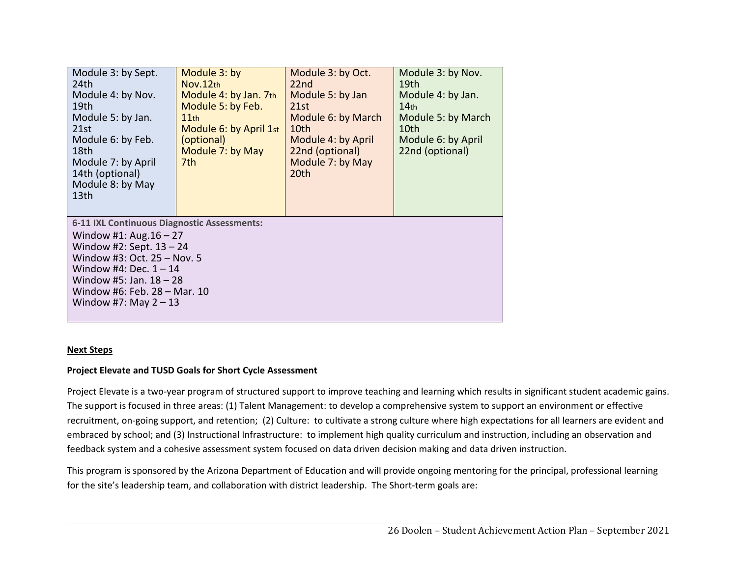| Module 3: by Sept.<br>24th<br>Module 4: by Nov.<br>19th<br>Module 5: by Jan.<br>21st<br>Module 6: by Feb.<br>18th<br>Module 7: by April<br>14th (optional)<br>Module 8: by May<br>13 <sub>th</sub>                                                        | Module 3: by<br>Nov.12th<br>Module 4: by Jan. 7th<br>Module 5: by Feb.<br>11th<br>Module 6: by April 1st<br>(optional)<br>Module 7: by May<br>7th | Module 3: by Oct.<br>22 <sub>nd</sub><br>Module 5: by Jan<br>21st<br>Module 6: by March<br>10 <sub>th</sub><br>Module 4: by April<br>22nd (optional)<br>Module 7: by May<br>20th | Module 3: by Nov.<br>19th<br>Module 4: by Jan.<br>14 <sub>th</sub><br>Module 5: by March<br>10th<br>Module 6: by April<br>22nd (optional) |  |  |
|-----------------------------------------------------------------------------------------------------------------------------------------------------------------------------------------------------------------------------------------------------------|---------------------------------------------------------------------------------------------------------------------------------------------------|----------------------------------------------------------------------------------------------------------------------------------------------------------------------------------|-------------------------------------------------------------------------------------------------------------------------------------------|--|--|
| 6-11 IXL Continuous Diagnostic Assessments:<br>Window #1: Aug. $16 - 27$<br>Window #2: Sept. $13 - 24$<br>Window #3: Oct. 25 - Nov. 5<br>Window #4: Dec. $1 - 14$<br>Window #5: Jan. $18 - 28$<br>Window #6: Feb. 28 - Mar. 10<br>Window #7: May $2 - 13$ |                                                                                                                                                   |                                                                                                                                                                                  |                                                                                                                                           |  |  |

#### **Next Steps**

#### **Project Elevate and TUSD Goals for Short Cycle Assessment**

Project Elevate is a two-year program of structured support to improve teaching and learning which results in significant student academic gains. The support is focused in three areas: (1) Talent Management: to develop a comprehensive system to support an environment or effective recruitment, on‐going support, and retention; (2) Culture: to cultivate a strong culture where high expectations for all learners are evident and embraced by school; and (3) Instructional Infrastructure: to implement high quality curriculum and instruction, including an observation and feedback system and a cohesive assessment system focused on data driven decision making and data driven instruction.

This program is sponsored by the Arizona Department of Education and will provide ongoing mentoring for the principal, professional learning for the site's leadership team, and collaboration with district leadership. The Short-term goals are: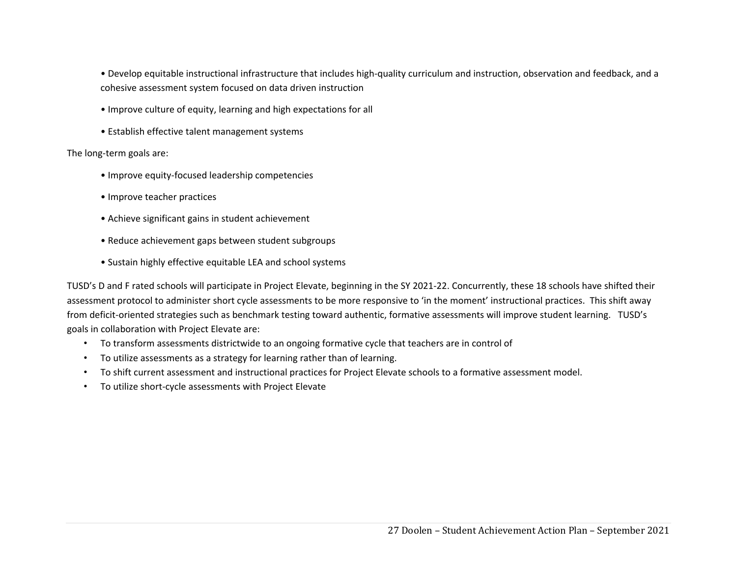• Develop equitable instructional infrastructure that includes high‐quality curriculum and instruction, observation and feedback, and a cohesive assessment system focused on data driven instruction

- Improve culture of equity, learning and high expectations for all
- Establish effective talent management systems

The long‐term goals are:

- Improve equity‐focused leadership competencies
- Improve teacher practices
- Achieve significant gains in student achievement
- Reduce achievement gaps between student subgroups
- Sustain highly effective equitable LEA and school systems

TUSD's D and F rated schools will participate in Project Elevate, beginning in the SY 2021-22. Concurrently, these 18 schools have shifted their assessment protocol to administer short cycle assessments to be more responsive to 'in the moment' instructional practices. This shift away from deficit-oriented strategies such as benchmark testing toward authentic, formative assessments will improve student learning. TUSD's goals in collaboration with Project Elevate are:

- To transform assessments districtwide to an ongoing formative cycle that teachers are in control of
- To utilize assessments as a strategy for learning rather than of learning.
- To shift current assessment and instructional practices for Project Elevate schools to a formative assessment model.
- To utilize short‐cycle assessments with Project Elevate